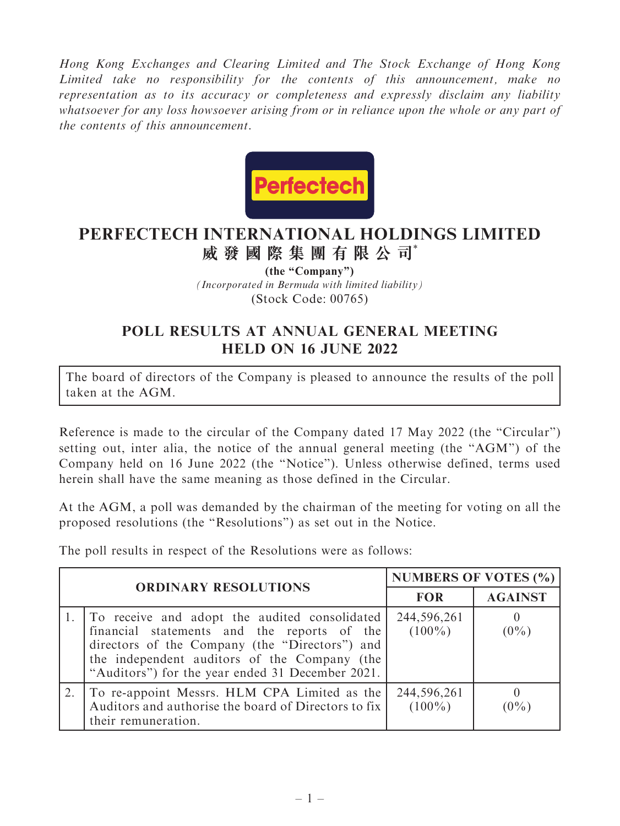Hong Kong Exchanges and Clearing Limited and The Stock Exchange of Hong Kong Limited take no responsibility for the contents of this announcement, make no representation as to its accuracy or completeness and expressly disclaim any liability whatsoever for any loss howsoever arising from or in reliance upon the whole or any part of the contents of this announcement.



## **PERFECTECH INTERNATIONAL HOLDINGS LIMITED 威發國際集團有限公司**\*

*(Incorporated in Bermuda with limited liability)* (Stock Code: 00765) **(the "Company")**

## POLL RESULTS AT ANNUAL GENERAL MEETING HELD ON 16 JUNE 2022

The board of directors of the Company is pleased to announce the results of the poll taken at the AGM.

Reference is made to the circular of the Company dated 17 May 2022 (the ''Circular'') setting out, inter alia, the notice of the annual general meeting (the ''AGM'') of the Company held on 16 June 2022 (the ''Notice''). Unless otherwise defined, terms used herein shall have the same meaning as those defined in the Circular.

At the AGM, a poll was demanded by the chairman of the meeting for voting on all the proposed resolutions (the ''Resolutions'') as set out in the Notice.

The poll results in respect of the Resolutions were as follows:

| <b>ORDINARY RESOLUTIONS</b> |                                                                                                                                                                                                                                                    | <b>NUMBERS OF VOTES (%)</b> |                     |
|-----------------------------|----------------------------------------------------------------------------------------------------------------------------------------------------------------------------------------------------------------------------------------------------|-----------------------------|---------------------|
|                             |                                                                                                                                                                                                                                                    | <b>FOR</b>                  | <b>AGAINST</b>      |
|                             | To receive and adopt the audited consolidated<br>financial statements and the reports of the<br>directors of the Company (the "Directors") and<br>the independent auditors of the Company (the<br>"Auditors") for the year ended 31 December 2021. | 244,596,261<br>$(100\%)$    | $\theta$<br>$(0\%)$ |
|                             | To re-appoint Messrs. HLM CPA Limited as the<br>Auditors and authorise the board of Directors to fix<br>their remuneration.                                                                                                                        | 244,596,261<br>$(100\%)$    | 0<br>$(0\%)$        |